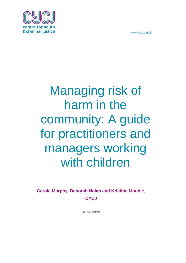

# Managing risk of harm in the community: A guide for practitioners and managers working with children

**Carole Murphy, Deborah Nolan and Kristina Moodie, CYCJ**

**June 2020**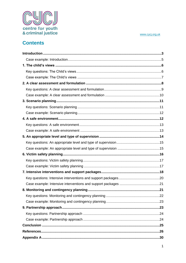



# **Contents**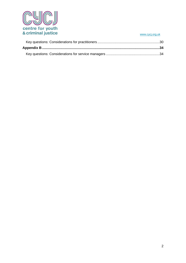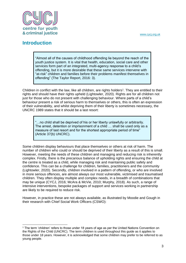

# <span id="page-3-0"></span>**Introduction**

1

"Almost all of the causes of childhood offending lie beyond the reach of the youth justice system. It is vital that health, education, social care and other services form part of an integrated, multi-agency response to a child's offending, but it is more desirable that these same services intervene with "at-risk" children and families before their problems manifest themselves in offending" (The Taylor Report, 2016: 3).

Children in conflict with the law, like all children, are rights holders<sup>1</sup>. They are entitled to their rights and should have their rights upheld (Lightowler, 2020). Rights are for all children not just for those who do not present with challenging behaviour. Where parts of a child's behaviour present a risk of serious harm to themselves or others, this is often an expression of their vulnerability, and whilst depriving them of their liberty is sometimes necessary, the UNCRC 1989 states that it should be a last resort:

...no child shall be deprived of his or her liberty unlawfully or arbitrarily. The arrest, detention or imprisonment of a child … shall be used only as a measure of last resort and for the shortest appropriate period of time" (Article 37(b) UNCRC).

Some children display behaviours that place themselves or others at risk of harm. The number of children who could or should be deprived of their liberty as a result of this is small. However, meeting the needs of these children and managing and reducing risk is inherently complex. Firstly, there is the precarious balance of upholding rights and ensuring the child at the centre is treated as a child, while managing risk and maintaining public safety and confidence. This can be a challenge for children, families, practitioners and the community (Lightowler, 2020). Secondly, children involved in a pattern of offending, or who are involved in more serious offences, are almost always our most vulnerable, victimised and traumatised children. They often display multiple and complex needs, in a breadth of combinations that may be unique (CYCJ, 2016; McAra & McVie, 2010; Murphy, 2018). As such, a range of intensive interventions, bespoke packages of support and services working in partnership are likely to be required to reduce risk.

However, in practice these are not always available, as illustrated by Moodie and Gough in their research with Chief Social Work Officers (CSWO):

<sup>1</sup> The term 'children' refers to those under 18 years of age as per the United Nations Convention on the Rights of the Child (UNCRC). The term children is used throughout this guide as it applies to those under 18 years. However, it is acknowledged that some children may prefer to be referred to as young people.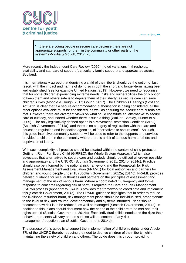

"…there are young people in secure care because there are not appropriate supports for them in the community or other parts of the system" (Moodie & Gough, 2017: 28).

More recently the Independent Care Review (2020) noted variations in thresholds, availability and standard of support (particularly family support) and approaches across Scotland.

It is internationally agreed that depriving a child of their liberty should be the option of last resort, with the impact and harms of doing so in both the short and longer-term having been well established (see for example United Nations, 2019). However, we need to recognise that for some children experiencing extreme needs, risks and vulnerabilities the only option to keep them and others safe is to deprive them of their liberty, as secure care can save children's lives (Moodie & Gough, 2017; Gough, 2017). The Children's Hearings (Scotland) Act 2011 is clear that if a secure accommodation authorisation is being considered, all the other options available must be considered, as well as ensuring the secure care criteria are met. However, there are divergent views on what could constitute an 'alternative' to secure care or custody, and indeed whether there is such a thing (Walker, Barclay, Hunter et al., 2005). The only legislatively defined option is a Movement Restriction Condition (MRC) (Scottish Government, 2014a), and there is no category of registration with the care and education regulation and inspection agencies, of 'alternatives to secure care'. As such, in this guide intensive community supports will be used to refer to the supports and services provided to children in the community where there is a risk of serious harm to others and deprivation of liberty.

With such complexity, all practice should be situated within the context of child protection, Getting It Right For Every Child (GIRFEC), the Whole System Approach (which also advocates that alternatives to secure care and custody should be utilised wherever possible and appropriate) and the UNCRC (Scottish Government, 2011; 2014b; 2014c). Practice should also be informed by the national risk framework and the Framework for Risk Assessment Management and Evaluation (FRAME) for local authorities and partners for children and young people under 18 (Scottish Government, 2012a; 2014c). FRAME provides detailed guidance for local authorities and partners on the principles of assessment and management of the risk of serious harm. Where a coordinated multi-agency and formal response to concerns regarding risk of harm is required the Care and Risk Management (CARM) process (appendix to FRAME) provides the framework to coordinate and implement this (Scottish Government, 2014c). The FRAME guidance highlights that in order to reduce the likelihood of further harm, risk management plans should be individualised, proportionate to the level of risk, and trauma, developmentally and systems informed. Plans should document how risk is to be reduced, as well as managed (Scottish Government, 2014c). In addition to this, plans should document how the needs of the child are to be met and their rights upheld (Scottish Government, 2014c). Each individual child's needs and the risks their behaviour presents will vary and as such so will the content of any risk management/reduction plan (Scottish Government, 2014c).

The purpose of this guide is to support the implementation of children's rights under Article 37b of the UNCRC thereby reducing the need to deprive children of their liberty, while maintaining the safety of children and others. The guide does this through providing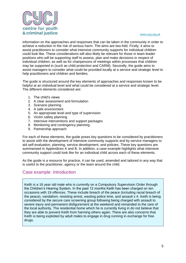

information on the approaches and responses that can be taken in the community in order to achieve a reduction in the risk of serious harm. The aims are two-fold. Firstly, it aims to assist practitioners to consider what intensive community supports for individual children could look like. These considerations will also likely be relevant for those in team leader positions who will be supporting staff to assess, plan and make decisions in respect of individual children, as well as for chairpersons of meetings within processes that children may be supported in (such as child protection and CARM). Secondly, the guide aims to assist managers to consider what could be provided locally at a service and strategic level to help practitioners and children and families.

The guide is structured around the key elements of approaches and responses known to be helpful at an individual level and what could be considered at a service and strategic level. The different elements considered are:

- 1. The child's views
- 2. A clear assessment and formulation
- 3. Scenario planning
- 4. A safe environment
- 5. An appropriate level and type of supervision
- 6. Victim safety planning
- 7. Intensive interventions and support packages
- 8. Monitoring and contingency planning
- 9. Partnership approach

For each of these elements, the guide poses key questions to be considered by practitioners to assist with the development of intensive community supports and by service managers to aid self-evaluation, planning, service development, and policies. These key questions are summarised in Appendices A and B. In addition, a case example highlights what intensive community support could look like for an individual child across each of these elements.

As the guide is a resource for practice, it can be used, amended and tailored in any way that is useful to the practitioner, agency or the team around the child.

### <span id="page-5-0"></span>Case example: Introduction

Keith is a 16 year old male who is currently on a Compulsory Supervision Order through the Children's Hearing System. In the past 12 months Keith has been charged on ten occasions with 19 offences. These include breach of the peace (including racial breach of the peace), vandalism, resisting arrest, wasting police time, and assault x 4. Keith is being considered by the secure care screening group following being charged with assault to severe injury and permanent disfigurement at the weekend and remanded to the care of the local authority. The residential home which he is currently living in do not believe that they are able to prevent Keith from harming others again. There are also concerns that Keith is being exploited by adult males to engage in drug running in exchange for free drugs.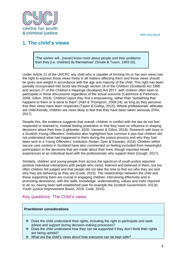

# <span id="page-6-0"></span>**1. The child's views**

"The worker will...[never] know more about people and their problems than they [i.e. children] do themselves" (Smale & Tuson, 1993:16).

Under Article 12 of the UNCRC any child who is capable of forming his or her own views has the right to express those views freely in all matters affecting them and those views should be given due weight in accordance with the age and maturity of the child. This right has been partially incorporated into Scots law through section 16 of the Children (Scotland) Act 1995 and section 27 of the Children's Hearings (Scotland) Act 2011, with children often keen to participate in these discussions regardless of the actual outcome (Cashmore & Parkinson, 2009; Gillon, 2019). Children report they find it empowering, rather than "something that happens to them or is done to them" (Hart & Thompson, 2009:24), as long as they perceive that their views have been respected (Taylor & Gollop, 2015). Where professionals' attitudes are child-friendly, children are more likely to feel that they have been taken seriously (FRA, 2017).

Despite this, the evidence suggests that overall, children in conflict with the law do not feel respected or listened to, instead feeling powerless or that they have no influence in shaping decisions about their lives (Lightowler, 2020; Vaswani & Gillon, 2018). Research with boys in a Scottish Young Offenders' Institution also highlighted how common it was that children did not understand what had happened to them during the justice process and why they had been sent to a Young Offenders' Institution (Nolan, Dyer & Vaswani, 2018). Children within secure care centres in Scotland have also commented on feeling excluded from meaningful participation in the decisions that are made about their lives, though reported mixed experiences at an individual level with the professionals who support them (Gough, 2017).

Similarly, children and young people from across the spectrum of youth justice reported positive individual interactions with people who cared, listened and believed in them, but too often children felt judged and that people did not take the time to find out who they are and why they are behaving as they are (Cook, 2015). The relationships between the child and those supporting them are crucial in engaging children, intervening effectively and in promoting desistance, with the skills, knowledge, understanding, values and traits required to do so, having been well established (see for example the Scottish Government, 2012b; Youth Justice Improvement Board, 2019; Cook, 2015).

### <span id="page-6-1"></span>Key questions: The Child's views

### **Practitioner considerations**

- $\div$  Does the child understand their rights, including the right to participate and seek advice and support during decision-making processes?
- $\div$  Does the child understand how they can be supported if they don't think their rights are being upheld?
- What are the child's views about how everyone can be kept safe?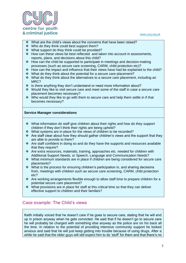

- $\cdot \cdot$  What are the child's views about the concerns that have been raised?
- ❖ Who do they think could best support them?
- What support do they think could be provided?
- $\cdot$  How can these views be best reflected and taken into account in assessments, reports, plans, and decisions about this child?
- $\div$  How can the child be supported to participate in meetings and decision-making processes (such as secure care screening, CARM, child protection etc)?
- $\div$  How can the impact and influence that their views have had be explained to the child?
- What do they think about the potential for a secure care placement?
- What do they think about the alternatives to a secure care placement, including an MRC<sub>2</sub>
- $\cdot \cdot$  Is there anything they don't understand or need more information about?
- Would they like to visit secure care and meet some of the staff in case a secure care placement becomes necessary?
- $\cdot$  Who would they like to go with them to secure care and help them settle in if that becomes necessary?

### **Service Manager considerations**

- $\div$  What information do staff give children about their rights and how do they support children if they don't think their rights are being upheld?
- What systems are in place for the views of children to be recorded?
- $\cdot \cdot$  Are staff clear about how they should gather children's views and the support that they are able to provide to them?
- $\div$  Are staff confident in doing so and do they have the supports and resources available that they require?
- $\cdot \cdot$  Are extra resources, materials, training, approaches etc. needed for children with Additional Support Needs, or Speech, Language and Communication Needs?
- $\cdot \cdot$  What minimum standards are in place if children are being considered for secure care placements?
- $\cdot$  What is the process for ensuring children's participation in, and sharing decisions from, meetings with children such as secure care screening, CARM, child protection etc?
- \* Are working arrangements flexible enough to allow staff time to prepare children for a potential secure care placement?
- What provisions are in place for staff at this critical time so that they can deliver effective support to children and their families?

### <span id="page-7-0"></span>Case example: The Child's views

Keith initially voiced that he doesn't care if he goes to secure care, stating that he will end up in prison anyway when he gets convicted. He said that if he doesn't go to secure care he will probably be charged with something else anyway as the police are on his back all the time. In relation to the potential of providing intensive community support he looked anxious and said that he will just keep getting into trouble because of using drugs. After a while he said that the older guys will still expect him to do 'stuff' for them and that there's no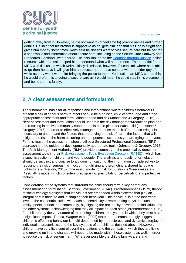

getting away from it. However, he did not want to (or feel safe to) provide names and further details. He said that his brother is supportive as he 'gets him' and that his Dad is alright and gives him money sometimes. Keith said he doesn't want to visit secure care but he sat for a short while and information about secure care, including on the Secure Care Pathway and Standards Scotland, was shared. He also looked at the [Journey through Justice](https://content.iriss.org.uk/charged/) online resource which he said helped him understand what will happen next. The potential for an MRC was discussed which Keith initially dismissed, however, if it can limit where he is able to go then he says it will give him an excuse not to have contact with the older guys for a while as they won't want him bringing the police to them. Keith said if an MRC can do this, he would prefer this to going to secure care as it would mean he could stay in his placement and be nearer his family.

# <span id="page-8-0"></span>**2. A clear assessment and formulation**

The fundamental basis for all responses and interventions where children's behaviours present a risk of serious harm to others should be a holistic, child centred, age and stage appropriate assessment and formulation of need and risk (Johnstone & Gregory, 2015). A clear assessment and formulation should underpin the risk management/reduction plan and the resulting intensive community support that is put in place for each child (Johnstone & Gregory, 2015). In order to effectively manage and reduce the risk of harm occurring it is necessary to understand the factors that are driving the risk of harm, the factors that will mitigate the risk of the harm occurring and the potential scenarios you are trying to prevent. For this reason the assessment should utilise a Structured Professional Judgment (SPJ) approach and be guided by developmentally appropriate tools (Johnstone & Gregory, 2015). The Risk Management Authority (RMA) provide a summary of the empirical evidence for assessment tools in their [Risk Assessment Tools Evaluation Directory \(RATED\),](http://www.rma.scot/research/rated/) which has a specific section on children and young people. The analysis and resulting formulation should be succinct and concise to aid communication of the information considered key to reducing the risk of serious harm occurring, utilising and promoting a shared language (Johnstone & Gregory, 2015). One useful model for risk formulation is Weerasekeera's (1996) 4P's model which considers predisposing, precipitating, perpetuating and protective factors.

Consideration of the systems that surround the child should form a key part of any assessment and formulation (Scottish Government, 2014c). Bronfenbrenner's (1979) theory of social ecology highlights that individuals are embedded within systems that play an integral part in their life and in shaping their behaviour. The individual is at the innermost level of the concentric circles with each concentric layer representing a system such as family, peers, school, and community, highlighting the reciprocity between the individual and the other systems, acknowledging that they all impact on each other (Bronfenbrenner, 1979). For children, by the very nature of their being children, the systems in which they exist have a significant impact. Tarolla, Wagner et al. (2002) state that research strongly suggests children's offending behaviour is multi-determined by the reciprocal and dynamic interplay of individual characteristics and the key systems of the child as detailed above. However, children have very little control over the situations and the contexts in which they are living and growing up in and changes will need to be made within these systems as well, in order to reduce the risk of serious harm. Wherever possible the child's family/carers and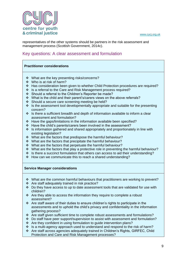

representatives of the other systems should be partners in the risk assessment and management process (Scottish Government, 2014c).

### <span id="page-9-0"></span>Key questions: A clear assessment and formulation

### **Practitioner considerations**

- What are the key presenting risks/concerns?
- Who is at risk of harm?
- Has consideration been given to whether Child Protection procedures are required?
- ❖ Is a referral to the Care and Risk Management process required?
- Should a referral to the Children's Reporter be made?
- What is the child and their parent's/carers views on the above referrals?
- ❖ Should a secure care screening meeting be held?
- $\cdot$  Is the assessment tool developmentally appropriate and suitable for the presenting concern?
- $\cdot$  Is there a sufficient breadth and depth of information available to inform a clear assessment and formulation?
- Have the gaps/limitations in the information available been specified?
- Have the child's parents/carers been involved in the assessment?
- $\cdot$  Is information gathered and shared appropriately and proportionately in line with existing legislation?
- What are the factors that predispose the harmful behaviour?
- $\div$  What are the factors that precipitate the harmful behaviour?
- ◆ What are the factors that perpetuate the harmful behaviour?
- $\cdot$  What are the factors that play a protective role in preventing the harmful behaviour?
- $\cdot$  Is there a succinct formulation that others can access to aid their understanding?
- $\div$  How can we communicate this to reach a shared understanding?

### **Service Manager considerations**

- \* What are the common harmful behaviours that practitioners are working to prevent?
- Are staff adequately trained in risk practice?
- Do they have access to up to date assessment tools that are validated for use with children?
- $\cdot \cdot$  Are they able to access the information they require to complete a robust assessment?
- $\cdot$  Are staff aware of their duties to ensure children's rights to participate in the assessments and to uphold the child's privacy and confidentiality in the information gathering process?
- \* Are staff given sufficient time to complete robust assessments and formulations?
- Do staff have peer support/supervision to assist with assessment and formulation?
- \* Are they confident in using formulation to guide intervention plans?
- Is a multi-agency approach used to understand and respond to the risk of harm?
- Are staff across agencies adequately trained in Children's Rights, GIRFEC, Child Protection and Care and Risk Management processes?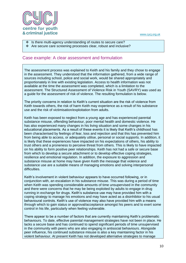

### $\div$  Is there multi-agency understanding of routes to secure care?

\* Are secure care screening processes clear, robust and inclusive?

### <span id="page-10-0"></span>Case example: A clear assessment and formulation

The assessment process was explained to Keith and his family and they chose to engage in the assessment. They understood that the information gathered, from a wide range of sources including school, police and social work, would be shared appropriately and proportionately in line with existing legislation. Access to health information was not available at the time the assessment was completed, which is a limitation to the assessment. The Structured Assessment of Violence Risk in Youth (SAVRY) was used as a guide for the assessment of risk of violence. The resulting formulation is below.

The priority concerns in relation to Keith's current situation are the risk of violence from Keith towards others, the risk of harm Keith may experience as a result of his substance use and the risk of victimisation/exploitation from adults.

Keith has been exposed to neglect from a young age and has experienced parental substance misuse, offending behaviour, poor mental health and domestic violence. He has also experienced many changes in his living situation and some changes in his educational placements. As a result of these events it is likely that Keith's childhood has been characterised by feelings of fear, loss and rejection and that this has prevented him from being able to access, or adequately utilise, personal or social supports. In addition, it is likely that these experiences have impacted on his expectations of others, his ability to trust others and a proneness to perceive threat from others. This is likely to have impacted on his ability to form positive peer relationships. Keith has not had a safe or secure base from which to develop a secure attachment or to develop effective coping strategies, resilience and emotional regulation. In addition, the exposure to aggression and substance misuse at home may have given Keith the message that violence and substance use are a suitable means of managing emotions and solving interpersonal difficulties.

Keith's involvement in violent behaviour appears to have occurred following, or in conjunction with, an escalation in his substance misuse. This was during a period of time when Keith was spending considerable amounts of time unsupervised in the community and there were concerns that he may be being exploited by adults to engage in drug running in exchange for drugs. Keith's substance use may have provided him with a coping strategy to manage his emotions and may have acted as a disinhibitor to his usual behavioural controls. Keith's use of violence may also have provided him with a means through which to gain status or approval/acceptance amongst his peers and to exert some control in his life, particularly when feeling vulnerable.

There appear to be a number of factors that are currently maintaining Keith's problematic behaviours. To date, effective parental management strategies have not been in place. He lacks a secure base and has continued to spend significant periods of time unsupervised in the community with peers who are also engaging in antisocial behaviours. Alongside peer influence, his continued substance misuse is also a key maintaining factor in his violent behaviour. At present Keith has not developed alternative strategies to manage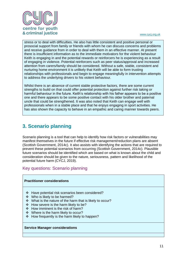

stress or to deal with difficulties. He also has little consistent and positive personal or prosocial support from family or friends with whom he can discuss concerns and problems and receive guidance from in order to deal with them in an effective manner. At present there is insufficient information as to the immediate motivators for the violent behaviour Keith is engaging in and the potential rewards or reinforcers he is experiencing as a result of engaging in violence. Potential reinforcers such as peer status/approval and increased attention from carers/family should be considered. Without a safe, stable, consistent and nurturing home environment it is unlikely that Keith will be able to form trusting relationships with professionals and begin to engage meaningfully in intervention attempts to address the underlying drivers to his violent behaviour.

Whilst there is an absence of current stable protective factors, there are some current strengths to build on that could offer potential protection against further risk taking or harmful behaviour in the future. Keith's relationship with his father appears to be a positive one and there appears to be some positive contact with his older brother and paternal uncle that could be strengthened. It was also noted that Keith can engage well with professionals when in a stable place and that he enjoys engaging in sport activities. He has also shown the capacity to behave in an empathic and caring manner towards peers.

# <span id="page-11-0"></span>**3. Scenario planning**

Scenario planning is a tool that can help to identify how risk factors or vulnerabilities may manifest themselves in the future if effective risk management/reduction plans are absent (Scottish Government, 2014c). It also assists with identifying the actions that are required to prevent these potential scenarios from occurring (Scottish Government, 2014c). Plausible future scenarios should be identified which are based on what is known about the child and consideration should be given to the nature, seriousness, pattern and likelihood of the potential future harm (CYCJ, 2019).

<span id="page-11-1"></span>Key questions: Scenario planning

### **Practitioner considerations**

- Have potential risk scenarios been considered?
- Who is likely to be harmed?
- What is the nature of the harm that is likely to occur?
- $\div$  How severe is the harm likely to be?
- How imminent is the risk of harm?
- Where is the harm likely to occur?
- $\div$  How frequently is the harm likely to happen?

### **Service Manager considerations**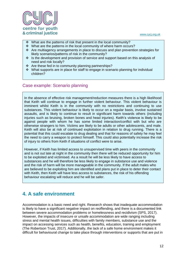

- What are the patterns of risk that present in the local community?
- What are the patterns in the local community of where harm occurs?
- $\triangle$  Are multiagency arrangements in place to discuss and plan prevention strategies for likely scenarios/patterns of risk in the community?
- Is the development and provision of service and support based on this analysis of need and risk locally?
- $\cdot$  Are these fed in to community planning partnerships?
- What supports are in place for staff to engage in scenario planning for individual children?

### <span id="page-12-0"></span>Case example: Scenario planning

In the absence of effective risk management/reduction measures there is a high likelihood that Keith will continue to engage in further violent behaviour. This violent behaviour is imminent whilst Keith is in the community with no restrictions and continuing to use substances. This violent behaviour is likely to occur on a regular basis, involve sustained assaults, and is likely to continue to result in significant harm towards others (including injuries such as bruising, broken bones and head injuries). Keith's violence is likely to be against people with whom he has some limited interaction/conflict with but who are otherwise strangers to him. Victims are likely to be adults or other adolescents, and male. Keith will also be at risk of continued exploitation in relation to drug running. There is a potential that this could escalate to drug dealing and that for reasons of safety he may feel the need to carry a weapon to protect himself. This could also potentially increase the risk of injury to others from Keith if situations of conflict were to arise.

However, if Keith has limited access to unsupervised time with peers in the community and is not out late at night in the community then there will be reduced opportunity for him to be exploited and victimised. As a result he will be less likely to have access to substances and he will therefore be less likely to engage in substance use and violence and the risk of harm will be more manageable in the community. If the adult males who are believed to be exploiting him are identified and plans put in place to deter their contact with Keith, then Keith will have less access to substances, the risk of his offending behaviour escalating will reduce and he will be safer.

# <span id="page-12-1"></span>**4. A safe environment**

Accommodation is a basic need and right. Research shows that inadequate accommodation is likely to have a significant negative impact on reoffending, and there is a documented link between severe accommodation problems or homelessness and recidivism (SPS, 2017). However, the impacts of insecure or unsafe accommodation are wide ranging including stress and mental health issues, difficulties with family members, substance use and the impact on accessing services such as health, benefits, education, training and employment (The Robertson Trust, 2017). Additionally, the lack of a safe home environment makes it difficult for behavioural change to take place through interventions or supports that are put in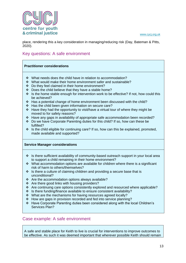

place, rendering this a key consideration in managing/reducing risk (Day, Bateman & Pitts, 2020).

### <span id="page-13-0"></span>Key questions: A safe environment

### **Practitioner considerations**

- What needs does the child have in relation to accommodation?
- $\cdot \cdot$  What would make their home environment safer and sustainable?
- Do they feel claimed in their home environment?
- Does the child believe that they have a stable home?
- Is the home stable enough for intervention work to be effective? If not, how could this be achieved?
- Has a potential change of home environment been discussed with the child?
- Has the child been given information on secure care?
- $\div$  Have they had the opportunity to visit/have a virtual tour of where they might be moved to for safety reasons?
- \* Have any gaps in availability of appropriate safe accommodation been recorded?
- Do we have Corporate Parenting duties for this child? If so, how can these be fulfilled?
- $\cdot$  Is the child eligible for continuing care? If so, how can this be explained, promoted, made available and supported?

### **Service Manager considerations**

- $\cdot$  Is there sufficient availability of community-based outreach support in your local area to support a child remaining in their home environment?
- What accommodation options are available for children where there is a significant risk of harm to others/themselves?
- $\cdot \cdot$  Is there a culture of claiming children and providing a secure base that is unconditional?
- \* Are the accommodation options always available?
- Are there good links with housing providers?
- Are continuing care options consistently explored and resourced where applicable?
- $\div$  Is there funding/finance available to ensure consistent availability?
- What are the mechanisms for having resources agreed locally?
- \* How are gaps in provision recorded and fed into service planning?
- Have Corporate Parenting duties been considered along with the local Children's Services Plan?

### <span id="page-13-1"></span>Case example: A safe environment

A safe and stable place for Keith to live is crucial for interventions to improve outcomes to be effective. As such it was deemed important that wherever possible Keith should remain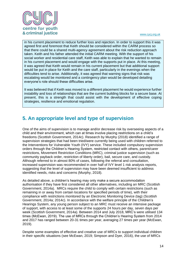

in his current placement to reduce further loss and rejection. In order to support this it was agreed first and foremost that Keith should be considered within the CARM process so that there could be a shared multi-agency agreement about the risk reduction approach taken. Keith and his father attended the initial CARM meeting. With the support of his social worker and residential care staff, Keith was able to explain that he wanted to remain in his current placement and would engage with the supports put in place. At this meeting, it was agreed that Keith would remain in his current placement but that additional support would be put in place for Keith and the care staff, particularly in the evenings when the difficulties tend to arise. Additionally, it was agreed that warning signs that risk was escalating would be monitored and a contingency plan would be developed detailing everyone's role should these difficulties arise.

It was believed that if Keith was moved to a different placement he would experience further instability and loss of relationships that are the current building blocks for a secure base. At present, this is a strength that could assist with the development of effective coping strategies, resilience and emotional regulation.

# <span id="page-14-0"></span>**5. An appropriate level and type of supervision**

One of the aims of supervision is to manage and/or decrease risk by overseeing aspects of a child and their environment, which can at times involve placing restrictions on a child's freedoms (Scottish Government, 2014c). Research by Murphy (2018) identified a range of supervision strategies that had been tried/were currently being used with children referred to the Interventions for Vulnerable Youth (IVY) service. These included compulsory supervision orders through the Children's Hearing System, restricted contact with others, parent/carer restrictions, Movement Restriction Conditions (MRC), criminal justice supervision (such as community payback order, restriction of liberty order), bail, secure care, and custody. Although referred to in almost 80% of cases, following the referral and consultation, increased supervision was recommended in over half of IVY level 1 risk analysis reports, suggesting that the level of supervision may have been deemed insufficient to address identified needs, risks and concerns (Murphy, 2018).

As detailed above, a children's hearing may only make a secure accommodation authorisation if they have first considered all other alternatives, including an MRC (Scottish Government, 2014a). MRCs require the child to comply with certain restrictions (such as remaining in or away from certain locations for specified periods of time), with their compliance with restrictions monitored by an Electronic Monitoring Device (tag) (Scottish Government, 2014a; 2014c). In accordance with the welfare principle of the Children's Hearings System, any young person subject to an MRC must receive an intensive package of support, with access to at least some of the supports 24 hours per day, seven days per week (Scottish Government, 2014a). Between 2014 and July 2018, MRC's were utilised 134 times (McEwan, 2019). The use of MRCs through the Children's Hearing System from 2014 and 2017 has ranged between 20-31 times per year, averaging 27 times per year (McEwan, 2019).

Despite some examples of effective and creative use of MRCs to support individual children in their specific situations (see McEwan, 2019; Simpson and Dyer, 2016), the use of MRCs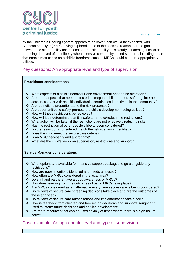

by the Children's Hearing System appears to be lower than would be expected, with Simpson and Dyer (2016) having explored some of the possible reasons for the gap between the stated policy aspirations and practice reality. It is clearly concerning if children are being deprived of their liberty when intensive community based supports, including those that enable restrictions on a child's freedoms such as MRCs, could be more appropriately utilised.

### <span id="page-15-0"></span>Key questions: An appropriate level and type of supervision

### **Practitioner considerations**

- What aspects of a child's behaviour and environment need to be overseen?
- \* Are there aspects that need restricted to keep the child or others safe e.g. internet access, contact with specific individuals, certain locations, times in the community?
- \* Are restrictions proportionate to the risk presented?
- $\cdot \cdot$  Are opportunities to safely promote the child's development being utilised?
- How will these restrictions be reviewed?
- \* How will it be determined that it is safe to remove/reduce the restrictions?
- \* What action will be taken if the restrictions are not effectively reducing risk?
- Has the restriction of other people's liberty been considered?
- Do the restrictions considered match the risk scenarios identified?
- Does the child meet the secure care criteria?
- ❖ Is an MRC necessary and appropriate?
- What are the child's views on supervision, restrictions and support?

### **Service Manager considerations**

- $\cdot$  What options are available for intensive support packages to go alongside any restrictions?
- How are gaps in options identified and needs analysed?
- How often are MRCs considered in the local area?
- Do staff and partners have a good awareness of MRCs?
- How does learning from the outcomes of using MRCs take place?
- Are MRCs considered as an alternative every time secure care is being considered?
- $\div$  Do reviews of secure care screening decisions take place and are the outcomes of these analysed?
- $\div$  Do reviews of secure care authorisations and implementation take place?
- \* How is feedback from children and families on decisions and supports sought and used to inform future decisions and service development?
- $\cdot \cdot$  Are there resources that can be used flexibly at times where there is a high risk of harm?

### <span id="page-15-1"></span>Case example: An appropriate level and type of supervision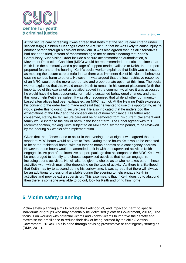

At the secure care screening it was agreed that Keith met the secure care criteria under section 83(6) Children's Hearings Scotland Act 2011 in that he was likely to cause injury to another person through his violent behaviour. It was also agreed that, as all alternatives had not been tried, instead of recommending to the children's hearing that Keith's Compulsory Supervision Order include a secure accommodation authorisation, a Movement Restriction Condition (MRC) would be recommended to restrict the times that Keith is in the community and a package of support made available to Keith. In the report prepared for, and at the hearing, Keith's social worker explained that Keith was assessed as meeting the secure care criteria in that there was imminent risk of his violent behaviour causing serious harm to others. However, it was argued that the less restrictive response of an MRC would be the more appropriate and proportionate option at this time. The social worker explained that this would enable Keith to remain in his current placement (with the importance of this explained as detailed above) in the community, where it was assessed he would have the best opportunity for making sustained behavioural change, and that this would help Keith feel safest. It was also recognised that while all other communitybased alternatives had been exhausted, an MRC had not. At the Hearing Keith expressed his consent to the order being made and said that he wanted to use this opportunity, as he would prefer this to going to secure care. He also indicated that he understood the expectations of the MRC and the consequences of non-compliance. His father also consented, stating he felt secure care and being removed from his current placement and family would increase the risk of harm in the longer term. The Panel agreed with this recommendation, making Keith subject to an MRC for a six month period, to be reviewed by the hearing six weeks after implementation.

Given that the offences tend to occur in the evening and at night it was agreed that the standard MRC hours would be 7pm to 7am. During these hours Keith would be expected to be at the residential home, with his father's home address as a contingency address. However, these hours would be amended to fit in with the supervised activities Keith engages in. As part of the intensive support package that accompanies the MRC Keith will be encouraged to identify and choose supervised activities that he can engage in, including sports activities. He will also be given a choice as to who he takes part in these activities with, which may differ depending on the type of activity. As there is a likelihood that Keith may try to abscond during his curfew time, it was agreed that there will always be an additional professional available during the evening to help engage Keith in activities and provide extra supervision. This also means that if Keith does try to abscond then there is someone available to go out, look for Keith and bring him home.

# <span id="page-16-0"></span>**6. Victim safety planning**

Victim safety planning aims to reduce the likelihood of, and impact of, harm to specific individuals or groups who may potentially be victimised (Scottish Government, 2014c). The focus is on working with potential victims and known victims to improve their safety and maximise their resilience to reduce their risk of being harmed by the child (Scottish Government, 2014c). This is done through devising preventative or contingency strategies (RMA, 2011).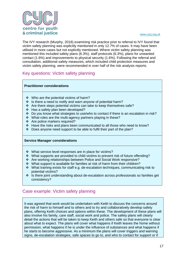

The IVY research (Murphy, 2018) examining risk practice prior to referral to IVY found that victim safety planning was explicitly mentioned in only 12.7% of cases. It may have been utilised in more cases but not explicitly mentioned. Where victim safety planning was mentioned this included safety plans (6.3%), staff protocols (6.3%), plans for unwanted contact (1.6%) and improvements to physical security (1.6%). Following the referral and consultation, additional safety measures, which included child protection measures and victim safety planning, were recommended in over half of the risk analysis reports.

### <span id="page-17-0"></span>Key questions: Victim safety planning

### **Practitioner considerations**

- Who are the potential victims of harm?
- $\div$  Is there a need to notify and warn anyone of potential harm?
- \* Are there steps potential victims can take to keep themselves safe?
- ❖ Has a safety plan been developed?
- Do you know what strategies to use/who to contact if there is an escalation in risk?
- ❖ What roles are the multi-agency partners playing in these?
- Are police markers required?
- Have the risks and plans been communicated to all those who need to know?
- $\div$  Does anyone need support to be able to fulfil their part of the plan?

### **Service Manager considerations**

- What service level responses are in place for victims?
- \* What supports are provided to child victims to prevent risk of future offending?
- Are working relationships between Police and Social Work responsive?
- \* What support is available for families at risk of harm from their children?
- What training exists for staff e.g. de-escalation techniques, communicating risk to potential victims?
- $\cdot$  Is there joint understanding about de-escalation across professionals so families get consistency?

### <span id="page-17-1"></span>Case example: Victim safety planning

It was agreed that work would be undertaken with Keith to discuss the concerns around the risk of harm to himself and to others and to try and collaboratively develop safety plans, offering Keith choices and options within these. The development of these plans will also involve his family, care staff, social work and police. The safety plans will clearly detail the actions that will be taken to keep Keith and others safe so that everyone is clear about what to expect. The plans will cover what happens if Keith leaves the home without permission, what happens if he is under the influence of substances and what happens if he starts to become aggressive. As a minimum the plans will cover triggers and warning signs, de-escalation strategies, safe spaces to go to, and who to contact for support or if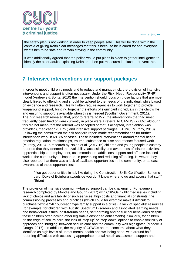

the safety plan is not working in order to keep people safe. This will be done within the context of giving Keith clear messages that this is because he is cared for and everyone wants him to be safe and remain staying in the community.

It was additionally agreed that the police would put plans in place to gather intelligence to identify the older adults exploiting Keith and then put measures in place to prevent this.

# <span id="page-18-0"></span>**7. Intensive interventions and support packages**

In order to meet children's needs and to reduce and manage risk, the provision of intensive interventions and support is often necessary. Under the Risk, Need, Responsivity (RNR) model (Andrews & Bonta, 2010) the intervention should focus on those factors that are most clearly linked to offending and should be tailored to the needs of the individual, while based on evidence and research. This will often require agencies to work together to provide wraparound support, bringing together the efforts of significant individuals in the child's life and ensuring support is available when this is needed (Scottish Government, 2011). The IVY research revealed that, prior to referral to IVY, the interventions that had most frequently been tried or were currently in place were a referral to CAMHS (77.8%; although this did not mean that the referral was accepted or that, if accepted, intervention was provided), medication (31.7%) and intensive support packages (31.7%) (Murphy, 2018). Following the consultation the risk analysis report made recommendations for further intervention work in 68.3% of cases. These included interventions around mental health, emotion regulation, relationships, trauma, substance misuse and offence focused work (Murphy, 2018). In research by Nolan et al. (2017:16) children and young people in custody reported that they deemed the availability, accessibility and awareness of leisure activities, apprenticeships or employment, accommodation, addictions support and offence focused work in the community as important in preventing and reducing offending. However, they also reported that there was a lack of available opportunities in the community, or at least awareness of these opportunities:

"You get opportunities in jail, like doing the Construction Skills Certification Scheme card, Duke of Edinburgh…outside you don't know where to go and access that stuff" (Brian)

The provision of intensive community-based support can be challenging. For example, research completed by Moodie and Gough (2017) with CSWOs highlighted issues including lack of choice and availability of such services; high costs and financial constraints; the commissioning processes and practices (which could for example make it difficult to purchase flexible 24/7 out-reach type family support in a crisis); a lack of specialist resources (for example, for children with Autistic Spectrum Disorders and associated learning needs and behavioural issues, post-trauma needs, self-harming and/or suicidal behaviours despite these children often having other legislative enshrined entitlements). Similarly, for children on the edge of secure care, the lack of 'step-up' or 'step-down' options to enable flexibility of approach and 'bridging' between secure care and the community was highlighted (Moodie & Gough, 2017). In addition, the majority of CSWOs shared concerns about what they identified as high levels of unmet mental health and wellbeing need, with around half reporting difficulties with accessing appropriate mental health assessment, support and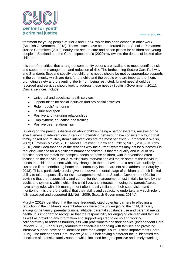

treatment for young people at Tier 3 and Tier 4, which has been echoed in other work (Scottish Government, 2018). These issues have been reiterated in the Scottish Parliament Justice Committee (2019) inquiry into secure care and prison places for children and young people in Scotland and the Care Inspectorate's (2020) review into the deaths of looked after children.

It is therefore critical that a range of community options are available to meet identified risk and support the management and reduction of risk. The forthcoming Secure Care Pathway and Standards Scotland specify that children's needs should be met by appropriate supports in the community which are right for the child and the people who are important to them, promoting safety and preventing liberty from being restricted. Unmet need should be recorded and services should look to address these needs (Scottish Government, 2011). Crucial services include:

- Universal and specialist health services
- Opportunities for social inclusion and pro-social activities
- Role models/mentoring
- Leisure and sport
- Positive and nurturing relationships
- Employment, education and training
- Positive peer relationships

Building on the previous discussion about children being a part of systems, reviews of the effectiveness of interventions in reducing offending behaviour have consistently found that family-based and multi-systemic interventions are the most beneficial (Farrington & Welsh, 2003; Humayun & Scott, 2015; Moodie, Vaswani, Shaw et al., 2015; NICE, 2013). Murphy (2018) concluded that one of the reasons why the current systems may not be successful in reducing violence for a significant number of children is that the quality and level of risk practice does not match the complex needs of these children, with interventions often focused on the individual child. Whilst such interventions will match some of the individual needs that children present with, any changes in their behaviour as a result are unlikely to be sustained if the contributing home and community factors are not also addressed (Murphy, 2018). This is particularly crucial given the developmental stage of children and their limited ability to take responsibility for risk management, with the Scottish Government (2014c) advising that the responsibility and control for risk management must initially be held by the adults and systems within which the child lives and interacts. In doing so, parents/carers have a key role, with risk management often heavily reliant on their supervision and monitoring. It is therefore critical that their ability and capacity to undertake any such role is fully assessed and supported (McNeill, 2009; Scottish Government, 2014c).

Murphy (2018) identified that the most frequently cited potential barriers to effecting a reduction in the children's violent behaviour were difficulty engaging the child, difficulty engaging the family, parental criminal attitude, parental substance use and parental mental health. It is important to recognise that the responsibility for engaging children and families, as well as providing any information and support required to do so and working collaboratively to address barriers, sits with practitioners and their service (Independent Care Review, 2020). Various key features for effectively engaging with families and providing intensive support have been identified (see for example Youth Justice Improvement Board, 2019). The Independent Care Review (2020), albeit having a different focus, identified ten principles of intensive family support which included being responsive and timely; working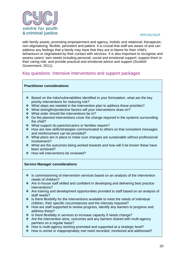

with family assets; promoting empowerment and agency; holistic and relational; therapeutic; non-stigmatising; flexible, persistent and patient. It is crucial that staff are aware of and can address any feelings that a family may have that they are to blame for their child's behaviours or stigmatised by their contact with services. It is also important to recognise and assess carers' own needs including personal, social and emotional support; support them in their caring role; and provide practical and emotional advice and support (Scottish Government, 2011).

### <span id="page-20-0"></span>Key questions: Intensive interventions and support packages

### **Practitioner considerations**

- Based on the risks/vulnerabilities identified in your formulation, what are the key priority interventions for reducing risk?
- \* What steps are needed in the intervention plan to address these priorities?
- What strengths/protective factors will your interventions draw on?
- What order should the interventions be in?
- $\cdot$  Do the planned interventions cover the change required in the systems surrounding the child?
- What support do parents/carers or families require?
- How are new skills/strategies communicated to others so that consistent messages and reinforcement can be provided?
- $\cdot$  What plans are in place to make sure changes are sustainable without professional involvement?
- \* What are the outcomes being worked towards and how will it be known these have been achieved?
- ❖ How will interventions be reviewed?

### **Service Manager considerations**

- $\cdot$  Is commissioning of intervention services based on an analysis of the intervention needs of children?
- Are in-house staff skilled and confident in developing and delivering best practice interventions?
- $\div$  Are training and development opportunities provided to staff based on an analysis of staff needs?
- $\div$  Is there flexibility for the interventions available to meet the needs of individual children, their specific circumstances and the intensity required?
- How are staff supported to review progress, identify any barriers to progress and address these?
- $\div$  Is there flexibility in services to increase capacity if needs change?
- $\cdot \cdot$  Are the intervention aims, outcomes and any barriers shared with multi-agency partners on a regular basis?
- How is multi-agency working promoted and supported at a strategic level?
- \* How is unmet or inappropriately met need recorded, monitored and addressed?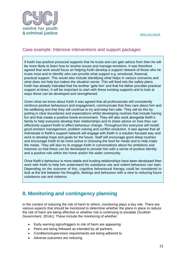

### <span id="page-21-0"></span>Case example: Intensive interventions and support packages

If Keith has positive prosocial supports that he trusts and can gain advice from then he will be more likely to learn how to resolve issues and manage emotions. It was therefore agreed that work would focus on helping Keith develop a support network of those who he trusts most and to identify who can provide what support e.g. emotional, financial, practical support. This would also include identifying what helps in various scenarios and what does not help but makes the situation worse. This will feed into the safety plans. Keith has already indicated that his brother 'gets him' and that his father provides practical support at times. It will be important to start with these existing supports and to look at ways these can be developed and strengthened.

Given what we know about Keith it was agreed that all professionals will consistently reinforce positive behaviours and engagement, communicate that they care about him and his wellbeing and that they will continue to try and keep him safe. They will do this by putting in clear boundaries and expectations whilst developing routines that include having fun and that create a positive home environment. They will also work alongside Keith's family to help everyone develop their relationships and to share advice on how they can effectively support Keith to effect behaviour change. Throughout this everyone will model good emotion management, problem solving and conflict resolution. It was agreed that all individuals in Keith's support network will engage with Keith in a solution focused way and work to develop hope and goals for the future. Staff will encourage good sleep routines and encourage Keith to be more active in choosing the food for meals and to help make the meals. They will also try to engage Keith in conversations about his ambitions and interests so that these can be developed to provide him with a sense of positive identity and a positive role within the home and/or the wider community.

Once Keith's behaviour is more stable and trusting relationships have been developed then work with Keith to help him understand his substance use and violent behaviour can start. Depending on the outcome of this, cognitive behavioural therapy could be considered to look at the link between his thoughts, feelings and behaviour with a view to reducing future substance use and violence.

# <span id="page-21-1"></span>**8. Monitoring and contingency planning**

In the context of reducing the risk of harm to others, monitoring plays a key role. There are various aspects that should be monitored to determine whether the plans in place to reduce the risk of harm are being effective or whether risk is continuing to escalate (Scottish Government, 2014c). These include the monitoring of whether:

- Early warning signs/triggers to risk of harm are appearing
- Plans are being followed as intended by all partners
- Conditions/supervision requirements are being adhered to
- Adverse outcomes are reducing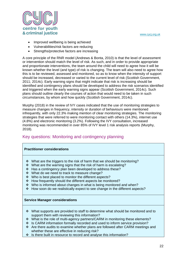

- Improved wellbeing is being achieved
- Vulnerabilities/risk factors are reducing
- Strengths/protective factors are increasing

A core principle of the RNR model (Andrews & Bonta, 2010) is that the level of assessment or intervention should match the level of risk. As such, and in order to provide appropriate and proportionate interventions, the team around the child will need to agree how it will be known whether the level (and type) of risk is changing. The team will also need to agree how this is to be reviewed, assessed and monitored, so as to know when the intensity of support should be increased, decreased or varied to the current level of risk (Scottish Government, 2011; 2014c). Early warning signs that might indicate that risk is increasing should be identified and contingency plans should be developed to address the risk scenarios identified and triggered when the early warning signs appear (Scottish Government, 2014c). Such plans should outline clearly the courses of action that would need to be taken in such circumstances, by whom and how quickly (Scottish Government, 2014c).

Murphy (2018) in the review of IVY cases indicated that the use of monitoring strategies to measure changes in frequency, intensity or duration of behaviours were mentioned infrequently, with only 22.3% making mention of clear monitoring strategies. The monitoring strategies that were referred to were monitoring contact with others (14.3%), internet use (4.8%) and electronic monitoring (3.2%). Following the IVY consultation, increased monitoring was recommended in over 85% of IVY level 1 risk analysis reports (Murphy, 2018).

### <span id="page-22-0"></span>Key questions: Monitoring and contingency planning

### **Practitioner considerations**

- What are the triggers to the risk of harm that we should be monitoring?
- $\cdot$  What are the warning signs that the risk of harm is escalating?
- Has a contingency plan been developed to address these?
- What do we need to track to measure change?
- ❖ Who is best placed to monitor the different aspects?
- How frequently should the different aspects be monitored?
- $\div$  Who is informed about changes in what is being monitored and when?
- How soon do we realistically expect to see change in the different aspects?

### **Service Manager considerations**

- $\cdot \cdot$  What supports are provided to staff to determine what should be monitored and to support them with reviewing this information?
- What is the role of multi-agency partners/CARM in monitoring these elements?
- $\div$  Is CARM information formally recorded and used to inform service provision?
- Are there audits to examine whether plans are followed after CARM meetings and whether these are effective in reducing risk?
- $\div$  Is there built in resource to record and analyse this information?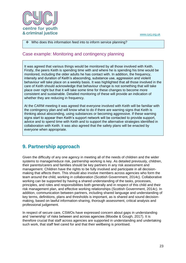

### Who does this information feed into to inform service planning?

### <span id="page-23-0"></span>Case example: Monitoring and contingency planning

It was agreed that various things would be monitored by all those involved with Keith. Firstly, the peers Keith is spending time with and where he is spending his time would be monitored, including the older adults he has contact with. In addition, the frequency, intensity and duration of Keith's absconding, substance use, aggression and violent behaviour will take place on a weekly basis. It was highlighted that all those involved in the care of Keith should acknowledge that behaviour change is not something that will take place over night but that it will take some time for these changes to become more consistent and sustainable. Detailed monitoring of these will provide an indication of whether they are reducing in frequency.

At the CARM meeting it was agreed that everyone involved with Keith will be familiar with the contingency plan and will know what to do if there are warning signs that Keith is thinking about absconding, using substances or becoming aggressive. If these warning signs start to appear then Keith's support network will be contacted to provide support, advice and to spend time with Keith and to support the alternative strategies identified in collaboration with Keith. It was also agreed that the safety plans will be enacted by everyone when appropriate.

# <span id="page-23-1"></span>**9. Partnership approach**

Given the difficulty of any one agency in meeting all of the needs of children and the wider systems to manage/reduce risk, partnership working is key. As detailed previously, children, their parents/carers and families should be key partners in any risk assessment and management. Children have the rights to be fully involved and participate in all decisionmaking that affects them. This should also involve members across agencies who form the team around the child, working in collaboration (Scottish Government, 2014c). Collaborative working can be supported by having a shared understanding of the tasks, processes, principles, and roles and responsibilities both generally and in respect of this child and their risk management plan, and effective working relationships (Scottish Government, 2014c). In addition, communication between partners, including shared language and understanding of key terms, definitions, plans and thresholds is important, as is shared and sound decisionmaking, based on lawful information-sharing, thorough assessment, critical analysis and professional judgement.

In respect of secure care, CSWOs have expressed concern about gaps in understanding and 'ownership' of risks between and across agencies (Moodie & Gough, 2017). It is therefore crucial that staff across agencies are supported in understanding and undertaking such work, that staff feel cared for and that their wellbeing is prioritised.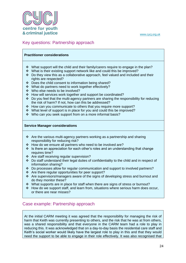

### <span id="page-24-0"></span>Key questions: Partnership approach

#### **Practitioner considerations**

- What support will the child and their family/carers require to engage in the plan?
- What is their existing support network like and could this be improved?
- $\div$  Do they view this as a collaborative approach, feel valued and included and their rights are respected?
- Does the child consent to information being shared?
- What do partners need to work together effectively?
- Who else needs to be involved?
- How will services work together and support be coordinated?
- $\div$  Do you feel that the multi-agency partners are sharing the responsibility for reducing the risk of harm? If not, how can this be addressed?
- \* How can you communicate to others that you require more support?
- What level of support is in place for you and could this be improved?
- Who can you seek support from on a more informal basis?

### **Service Manager considerations**

- $\cdot \cdot$  Are the various multi-agency partners working as a partnership and sharing responsibility for reducing risk?
- How do we ensure all partners who need to be involved are?
- $\cdot$  Is there an appreciation for each other's roles and an understanding that change requires time?
- Are staff receiving regular supervision?
- Do staff understand their legal duties of confidentiality to the child and in respect of information sharing?
- Do processes allow for regular communication and support to involved partners?
- Are there regular opportunities for peer support?
- \* Are supervisors/managers aware of the signs of developing stress and burnout and do they monitor these?
- $\div$  What supports are in place for staff when there are signs of stress or burnout?
- \* How do we support staff, and learn from, situations where serious harm does occur, or there are near misses?

### <span id="page-24-1"></span>Case example: Partnership approach

At the initial CARM meeting it was agreed that the responsibility for managing the risk of harm that Keith was currently presenting to others, and the risk that he was at from others, was a shared responsibility and that everyone in the CARM team had a role to play in reducing this. It was acknowledged that on a day-to-day basis the residential care staff and Keith's social worker would likely have the largest role to play in this and that they would need the support to be able to engage in their role effectively. It was also recognised that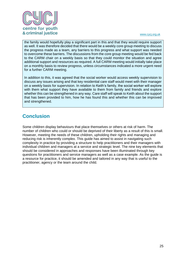

the family would hopefully play a significant part in this and that they would require support as well. It was therefore decided that there would be a weekly core group meeting to discuss the progress made as a team, any barriers to this progress and what support was needed to overcome these barriers. The discussions from the core group meeting would be fed back to the CARM chair on a weekly basis so that they could monitor the situation and agree additional support and resources as required. A full CARM meeting would initially take place on a monthly basis to review progress, unless circumstances indicated a more urgent need for a further CARM meeting.

In addition to this, it was agreed that the social worker would access weekly supervision to discuss any issues arising and that key residential care staff would meet with their manager on a weekly basis for supervision. In relation to Keith's family, the social worker will explore with them what support they have available to them from family and friends and explore whether this can be strengthened in any way. Care staff will speak to Keith about the support that has been provided to him, how he has found this and whether this can be improved and strengthened.

# <span id="page-25-0"></span>**Conclusion**

Some children display behaviours that place themselves or others at risk of harm. The number of children who could or should be deprived of their liberty as a result of this is small. However, meeting the needs of these children, upholding their rights and managing and reducing risk is inherently complex. This guide has aimed to assist in navigating such complexity in practice by providing a structure to help practitioners and their managers with individual children and managers at a service and strategic level. The nine key elements that should be considered in approaches and responses have been illuminated through key questions for practitioners and service managers as well as a case example. As the guide is a resource for practice, it should be amended and tailored in any way that is useful to the practitioner, agency or the team around the child.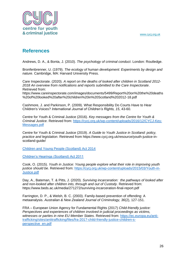

# <span id="page-26-0"></span>**References**

Andrews, D. A., & Bonta, J. (2010). *The psychology of criminal conduct*. London: Routledge.

Bronfenbrenner, U. (1979). *The ecology of human development: Experiments by design and nature*. Cambridge, MA: Harvard University Press.

Care Inspectorate. (2020). *A report on the deaths of looked after children in Scotland 2012- 2018 An overview from notifications and reports submitted to the Care Inspectorate*. Retrieved from: https://www.careinspectorate.com/images/documents/5499/Report%20on%20the%20deaths

%20of%20looked%20after%20children%20in%20Scotland%202012-18.pdf

Cashmore, J. and Parkinson, P. (2009). What Responsibility Do Courts Have to Hear Children's Voices? *International Journal of Children's Rights, 15*, 43-60*.*

Centre for Youth & Criminal Justice (2016). *Key messages from the Centre for Youth & Criminal Justice*. Retrieved from: [https://cycj.org.uk/wp-content/uploads/2016/12/CYCJ-Key-](https://cycj.org.uk/wp-content/uploads/2016/12/CYCJ-Key-Messages.pdf)[Messages.pdf](https://cycj.org.uk/wp-content/uploads/2016/12/CYCJ-Key-Messages.pdf)

Centre for Youth & Criminal Justice (2019). *A Guide to Youth Justice in Scotland: policy, practice and legislation*. Retrieved from https://www.cycj.org.uk/resource/youth-justice-inscotland-guide/

[Children and Young People \(Scotland\) Act 2014](https://www.legislation.gov.uk/asp/2014/8/contents/enacted)

[Children's Hearings \(Scotland\) Act 2011](http://www.legislation.gov.uk/asp/2011/1/contents)

Cook, O. (2015). *Youth in Justice: Young people explore what their role in improving youth justice should be*. Retrieved from: [https://cycj.org.uk/wp-content/uploads/2015/03/Youth-in-](https://cycj.org.uk/wp-content/uploads/2015/03/Youth-in-Justice.pdf)[Justice.pdf](https://cycj.org.uk/wp-content/uploads/2015/03/Youth-in-Justice.pdf)

Day, A., Bateman, T. & Pitts, J. (2020). *Surviving incarceration: the pathways of looked after and non-looked after children into, through and out of Custody*. Retrieved from: https://www.beds.ac.uk/media/271272/surviving-incarceration-final-report.pdf

Farrington, D. P., & Welsh, B. C. (2003). Family-based prevention of offending: A metaanalysis. *Australian & New Zealand Journal of Criminology, 36*(2), 127-151.

FRA – European Union Agency for Fundamental Rights (2017) *Child-friendly justice: Perspectives and experiences of children involved in judicial proceedings as victims, witnesses or parties in nine EU Member States*. Retrieved from: [https://ec.europa.eu/anti](https://ec.europa.eu/anti-trafficking/sites/antitrafficking/files/fra-2017-child-friendly-justice-children-s-perspective_en.pdf)[trafficking/sites/antitrafficking/files/fra-2017-child-friendly-justice-children-s](https://ec.europa.eu/anti-trafficking/sites/antitrafficking/files/fra-2017-child-friendly-justice-children-s-perspective_en.pdf)[perspective\\_en.pdf](https://ec.europa.eu/anti-trafficking/sites/antitrafficking/files/fra-2017-child-friendly-justice-children-s-perspective_en.pdf)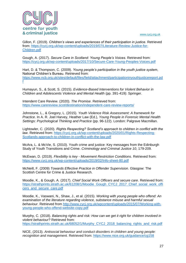

Gillon, F. (2019). *Children's views and experiences of their participation in justice*. Retrieved from: [https://cycj.org.uk/wp-content/uploads/2019/07/Literature-Review-Justice-for-](https://cycj.org.uk/wp-content/uploads/2019/07/Literature-Review-Justice-for-Children.pdf)[Children.pdf](https://cycj.org.uk/wp-content/uploads/2019/07/Literature-Review-Justice-for-Children.pdf)

Gough, A. (2017). *Secure Care in Scotland: Young People's Voices*. Retrieved from: <https://cycj.org.uk/wp-content/uploads/2017/10/Secure-Care-Young-Peoples-Voices.pdf>

Hart, D. & Thompson, C. (2009). *Young people's participation in the youth justice system*, National Children's Bureau. Retrieved from: [https://www.ncb.org.uk/sites/default/files/field/attachment/participationinyouthjusticereport.pd](https://www.ncb.org.uk/sites/default/files/field/attachment/participationinyouthjusticereport.pdf) [f](https://www.ncb.org.uk/sites/default/files/field/attachment/participationinyouthjusticereport.pdf)

Humayun, S., & Scott, S. (2015). *Evidence-Based Interventions for Violent Behavior in Children and Adolescents Violence and Mental Health* (pp. 391-419): Springer.

Intendent Care Review. (2020). *The Promise*. Retrieved from: <https://www.carereview.scot/destination/independent-care-review-reports/>

Johnstone, L., & Gregory, L. (2015). *Youth Violence Risk Assessment: A framework for Practice*. In A. R. Joel Harvey, Heather Law (Ed.), *Young People in Forensic Mental Health Settings: Psychological Thinking and Practice* (pp. 96-122). London: Palgrave Macmillan.

Lightowler, C. (2020). *Rights Respecting? Scotland's approach to children in conflict with the law*. Retrieved from: [https://cycj.org.uk/wp-content/uploads/2020/01/Rights-Respecting-](https://cycj.org.uk/wp-content/uploads/2020/01/Rights-Respecting-Scotlands-approach-to-children-in-conflict-with-the-law.pdf)[Scotlands-approach-to-children-in-conflict-with-the-law.pdf](https://cycj.org.uk/wp-content/uploads/2020/01/Rights-Respecting-Scotlands-approach-to-children-in-conflict-with-the-law.pdf)

McAra, L. & McVie, S. (2010). Youth crime and justice: Key messages from the Edinburgh Study of Youth Transitions and Crime. *Criminology and Criminal Justice 10*, 179-209.

McEwan, D. (2019). *Flexibility is key - Movement Restriction Conditions*. Retrieved from: <https://www.cycj.org.uk/wp-content/uploads/2019/02/Info-sheet-80.pdf>

McNeill, F. (2009) *Towards Effective Practice in Offender Supervision*. Glasgow: The Scottish Centre for Crime & Justice Research.

Moodie, K., & Gough, A. (2017). *Chief Social Work Officers and secure care*. Retrieved from: [https://strathprints.strath.ac.uk/61208/1/Moodie\\_Gough\\_CYCJ\\_2017\\_Chief\\_social\\_work\\_offi](https://strathprints.strath.ac.uk/61208/1/Moodie_Gough_CYCJ_2017_Chief_social_work_officers_and_secure_care.pdf) [cers\\_and\\_secure\\_care.pdf](https://strathprints.strath.ac.uk/61208/1/Moodie_Gough_CYCJ_2017_Chief_social_work_officers_and_secure_care.pdf)

Moodie, K., Vaswani, N., Shaw, J., et al. (2015). *Working with young people who offend: An examination of the literature regarding violence, substance misuse and harmful sexual behaviour*. Retrieved from [http://www.cycj.org.uk/wpcontent/uploads/2015/07/Working-with](http://www.cycj.org.uk/wpcontent/uploads/2015/07/Working-with-young-people-who-offend-website-copy.pdf)[young-people-who-offend-website-copy.pdf](http://www.cycj.org.uk/wpcontent/uploads/2015/07/Working-with-young-people-who-offend-website-copy.pdf)

Murphy, C. (2018). *Balancing rights and risk: How can we get it right for children involved in violent behaviour?* Retrieved from: [https://strathprints.strath.ac.uk/68052/1/Murphy\\_CYCJ\\_2018\\_balancing\\_rights\\_and\\_risk.pdf](https://strathprints.strath.ac.uk/68052/1/Murphy_CYCJ_2018_balancing_rights_and_risk.pdf)

NICE, (2013). *Antisocial behaviour and conduct disorders in children and young people: recognition and management.* Retrieved from: <https://www.nice.org.uk/guidance/cg158>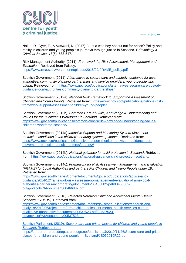

Nolan, D., Dyer, F., & Vaswani, N. (2017). 'Just a wee boy not cut out for prison': Policy and reality in children and young people's journeys through justice in Scotland. *Criminology & Criminal Justice, 18*(5), 533-547.

Risk Management Authority. (2011). *Framework for Risk Assessment, Management and Evaluation*. Retrieved from Paisley: [https://www.rma.scot/wp-content/uploads/2018/02/FRAME\\_policy.pdf](https://www.rma.scot/wp-content/uploads/2018/02/FRAME_policy.pdf)

Scottish Government (2011). *Alternatives to secure care and custody: guidance for local authorities, community planning partnerships and service providers: young people who offend*. Retrieved from: [https://www.gov.scot/publications/alternatives-secure-care-custody](https://www.gov.scot/publications/alternatives-secure-care-custody-guidance-local-authorities-community-planning-partnerships/)[guidance-local-authorities-community-planning-partnerships/](https://www.gov.scot/publications/alternatives-secure-care-custody-guidance-local-authorities-community-planning-partnerships/)

Scottish Government (2012a). *National Risk Framework to Support the Assessment of Children and Young People*. Retrieved from: [https://www.gov.scot/publications/national-risk](https://www.gov.scot/publications/national-risk-framework-support-assessment-children-young-people/)[framework-support-assessment-children-young-people/](https://www.gov.scot/publications/national-risk-framework-support-assessment-children-young-people/)

Scottish Government (2012b). *Common Core of Skills, Knowledge & Understanding and Values for the "Children's Workforce" in Scotland*. Retrieved from: [https://www.gov.scot/publications/common-core-skills-knowledge-understanding-values](https://www.gov.scot/publications/common-core-skills-knowledge-understanding-values-childrens-workforce-scotland/)[childrens-workforce-scotland/](https://www.gov.scot/publications/common-core-skills-knowledge-understanding-values-childrens-workforce-scotland/)

Scottish Government (2014a) *Intensive Support and Monitoring System Movement restriction conditions in the children's hearing system: guidance*. Retrieved from: [https://www.gov.scot/publications/intensive-support-monitoring-system-guidance-use](https://www.gov.scot/publications/intensive-support-monitoring-system-guidance-use-movement-restriction-conditions-mrcs/pages/2/)[movement-restriction-conditions-mrcs/pages/2/](https://www.gov.scot/publications/intensive-support-monitoring-system-guidance-use-movement-restriction-conditions-mrcs/pages/2/)

Scottish Government (2014b). *National guidance for child protection in Scotland*. Retrieved from:<https://www.gov.scot/publications/national-guidance-child-protection-scotland/>

Scottish Government (2014c). *Framework for Risk Assessment Management and Evaluation (FRAME) for Local Authorities and partners For Children and Young People under 18*. Retrieved from:

[https://www.gov.scot/binaries/content/documents/govscot/publications/advice-and](https://www.gov.scot/binaries/content/documents/govscot/publications/advice-and-guidance/2014/12/framework-risk-assessment-management-evaluation-frame-local-authorities-partners-incorporating/documents/00466882-pdf/00466882-pdf/govscot%3Adocument/00466882.pdf)[guidance/2014/12/framework-risk-assessment-management-evaluation-frame-local](https://www.gov.scot/binaries/content/documents/govscot/publications/advice-and-guidance/2014/12/framework-risk-assessment-management-evaluation-frame-local-authorities-partners-incorporating/documents/00466882-pdf/00466882-pdf/govscot%3Adocument/00466882.pdf)[authorities-partners-incorporating/documents/00466882-pdf/00466882](https://www.gov.scot/binaries/content/documents/govscot/publications/advice-and-guidance/2014/12/framework-risk-assessment-management-evaluation-frame-local-authorities-partners-incorporating/documents/00466882-pdf/00466882-pdf/govscot%3Adocument/00466882.pdf) [pdf/govscot%3Adocument/00466882.pdf](https://www.gov.scot/binaries/content/documents/govscot/publications/advice-and-guidance/2014/12/framework-risk-assessment-management-evaluation-frame-local-authorities-partners-incorporating/documents/00466882-pdf/00466882-pdf/govscot%3Adocument/00466882.pdf)

Scottish Government. (2018). *Rejected Referrals Child and Adolescent Mental Health Services (CAMHS)*. Retrieved from:

[https://www.gov.scot/binaries/content/documents/govscot/publications/research-and](https://www.gov.scot/binaries/content/documents/govscot/publications/research-and-analysis/2018/06/rejected-referrals-child-adolescent-mental-health-services-camhs-qualitative-quantitative/documents/00537523-pdf/00537523-pdf/govscot%3Adocument/00537523.pdf)[analysis/2018/06/rejected-referrals-child-adolescent-mental-health-services-camhs](https://www.gov.scot/binaries/content/documents/govscot/publications/research-and-analysis/2018/06/rejected-referrals-child-adolescent-mental-health-services-camhs-qualitative-quantitative/documents/00537523-pdf/00537523-pdf/govscot%3Adocument/00537523.pdf)[qualitative-quantitative/documents/00537523-pdf/00537523](https://www.gov.scot/binaries/content/documents/govscot/publications/research-and-analysis/2018/06/rejected-referrals-child-adolescent-mental-health-services-camhs-qualitative-quantitative/documents/00537523-pdf/00537523-pdf/govscot%3Adocument/00537523.pdf) [pdf/govscot%3Adocument/00537523.pdf](https://www.gov.scot/binaries/content/documents/govscot/publications/research-and-analysis/2018/06/rejected-referrals-child-adolescent-mental-health-services-camhs-qualitative-quantitative/documents/00537523-pdf/00537523-pdf/govscot%3Adocument/00537523.pdf)

Scottish Parliament. (2019). *Secure care and prison places for children and young people in Scotland***.** Retrieved from: https://sp-bpr-en-prodcdnep.azureedge.net/published/J/2019/11/26/Secure-care-and-prisonplaces-for-children-and-young-people-in-Scotland/JS052019R22.pdf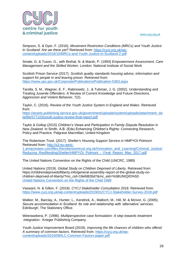

Simpson, S. & Dyer, F. (2016). *Movement Restriction Conditions (MRCs) and Youth Justice In Scotland: Are we there yet?* Retrieved from: [https://cycj.org.uk/wp](https://cycj.org.uk/wp-content/uploads/2016/10/MRCs-and-Youth-Justice-in-Scotland-2.pdf)[content/uploads/2016/10/MRCs-and-Youth-Justice-in-Scotland-2.pdf](https://cycj.org.uk/wp-content/uploads/2016/10/MRCs-and-Youth-Justice-in-Scotland-2.pdf)

Smale, G. & Tuson, G., with Brehal, N. & Marsh, P. (1993) *Empowerment Assessment, Care Management and the Skilled Worker*, London: National Institute of Social Work

Scottish Prison Service (2017). *Scottish quality standards housing advice, information and support for people in and leaving prison*. Retrieved from: <https://www.sps.gov.uk/Corporate/Publications/Publication-5363.aspx>

Tarolla, S. M., Wagner, E. F., Rabinowitz, J., & Tubman, J. G. (2002). Understanding and Treating Juvenile Offenders: A Review of Current Knowledge and Future Directions. *Aggression and Violent Behavior*, 7(2).

Taylor, C. (2016). *Review of the Youth Justice System in England and Wales*. Retrieved from:

[https://assets.publishing.service.gov.uk/government/uploads/system/uploads/attachment\\_da](https://assets.publishing.service.gov.uk/government/uploads/system/uploads/attachment_data/file/577103/youth-justice-review-final-report.pdf) [ta/file/577103/youth-justice-review-final-report.pdf](https://assets.publishing.service.gov.uk/government/uploads/system/uploads/attachment_data/file/577103/youth-justice-review-final-report.pdf)

Taylor & Gollop (2015) *Children's Views and Participation in Family Dispute Resolution in New Zealand.* In Smith, A.B. (Eds) Enhancing Children's Rights: Connecting Research, Policy and Practice. Palgrave Macmillan, United Kingdom

The Robertson Trust. (2017). *Shelter's Housing Support Service in HMPYOI Polmont*. Retrieved from: [http://s3-eu-west-](http://s3-eu-west-1.amazonaws.com/files.therobertsontrust.org.uk/Innovation_and_Learning/Criminal_Justice/Reducing_Reoffending/Shelter/HMPYOI_Polmont_-_Final_Report_May_2017.pdf)

[1.amazonaws.com/files.therobertsontrust.org.uk/Innovation\\_and\\_Learning/Criminal\\_Justice/](http://s3-eu-west-1.amazonaws.com/files.therobertsontrust.org.uk/Innovation_and_Learning/Criminal_Justice/Reducing_Reoffending/Shelter/HMPYOI_Polmont_-_Final_Report_May_2017.pdf) [Reducing\\_Reoffending/Shelter/HMPYOI\\_Polmont\\_-\\_Final\\_Report\\_May\\_2017.pdf](http://s3-eu-west-1.amazonaws.com/files.therobertsontrust.org.uk/Innovation_and_Learning/Criminal_Justice/Reducing_Reoffending/Shelter/HMPYOI_Polmont_-_Final_Report_May_2017.pdf)

The United Nations Convention on the Rights of the Child (UNCRC, 1989)

United Nations (2019). *Global Study on Children Deprived of Liberty.* Retrieved from: https://childrendeprivedofliberty.info/general-assembly-report-of-the-global-study-onchildren-deprived-of-liberty/?mc\_cid=19efd826d7&mc\_eid=%5BUNIQID%5D [United Nations Convention on the Rights of the Child 1989](https://downloads.unicef.org.uk/wp-content/uploads/2016/08/unicef-convention-rights-child-uncrc.pdf?_ga=2.121976265.371892973.1584637732-155478211.1584637732)

Vaswani, N. & Gillon, F. (2018). *CYCJ Stakeholder Consultation 2018*. Retrieved from: <https://www.cycj.org.uk/wp-content/uploads/2019/01/CYCJ-Stakeholder-Survey-2018.pdf>

Walker, M., Barclay, A., Hunter, L., Kendrick, A., Malloch, M., Hill, M. & McIvor, G. (2005). *Secure accommodation in Scotland: Its role and relationship with 'alternative' services*. Edinburgh: The Stationery Office.

Weerasekera, P. (1996). *Multiperspective case formulation: A step towards treatment integration.*: Krieger Publishing Company.

Youth Justice Improvement Board (2019). *Improving the life chances of children who offend: A summary of common factors*. Retrieved from: [https://cycj.org.uk/wp](https://cycj.org.uk/wp-content/uploads/2019/09/ILC-Common-Factors-paper.pdf)[content/uploads/2019/09/ILC-Common-Factors-paper.pdf](https://cycj.org.uk/wp-content/uploads/2019/09/ILC-Common-Factors-paper.pdf)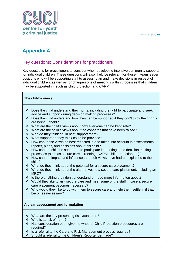

# <span id="page-30-0"></span>**Appendix A**

### <span id="page-30-1"></span>Key questions: Considerations for practitioners

Key questions for practitioners to consider when developing intensive community supports for individual children. These questions will also likely be relevant for those in team leader positions who will be supporting staff to assess, plan and make decisions in respect of individual children, as well as for chairpersons of meetings within processes that children may be supported in (such as child protection and CARM).

### **The child's views**

- $\div$  Does the child understand their rights, including the right to participate and seek advice and support during decision making processes?
- $\div$  Does the child understand how they can be supported if they don't think their rights are being upheld?
- What are the child's views about how everyone can be kept safe?
- What are the child's views about the concerns that have been raised?
- ❖ Who do they think could best support them?
- What support do they think could be provided?
- $\cdot \cdot$  How can these views be best reflected in and taken into account in assessments, reports, plans, and decisions about this child?
- $\div$  How can the child be supported to participate in meetings and decision making processes (such as secure care screening, CARM, child protection etc)?
- $\div$  How can the impact and influence that their views have had be explained to the child?
- What do they think about the potential for a secure care placement?
- What do they think about the alternatives to a secure care placement, including an MRC?
- $\div$  Is there anything they don't understand or need more information about?
- \* Would they like to visit secure care and meet some of the staff in case a secure care placement becomes necessary?
- $\div$  Who would they like to go with them to secure care and help them settle in if that becomes necessary?

### **A clear assessment and formulation**

- What are the key presenting risks/concerns?
- Who is at risk of harm?
- Has consideration been given to whether Child Protection procedures are required?
- ❖ Is a referral to the Care and Risk Management process required?
- ❖ Should a referral to the Children's Reporter be made?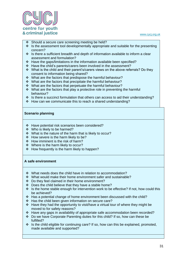

- ❖ Should a secure care screening meeting be held?
- $\cdot$  Is the assessment tool developmentally appropriate and suitable for the presenting concern?
- $\div$  Is there a sufficient breadth and depth of information available to inform a clear assessment and formulation?
- Have the gaps/limitations in the information available been specified?
- Have the child's parents/carers been involved in the assessment?
- What is the child and their parent's/carers views on the above referrals? Do they consent to information being shared?
- What are the factors that predispose the harmful behaviour?
- $\div$  What are the factors that precipitate the harmful behaviour?
- ❖ What are the factors that perpetuate the harmful behaviour?
- What are the factors that play a protective role in preventing the harmful behaviour?
- $\div$  Is there a succinct formulation that others can access to aid their understanding?
- \* How can we communicate this to reach a shared understanding?

### **Scenario planning**

- \* Have potential risk scenarios been considered?
- Who is likely to be harmed?
- What is the nature of the harm that is likely to occur?
- $\div$  How severe is the harm likely to be?
- $\div$  How imminent is the risk of harm?
- Where is the harm likely to occur?
- $\div$  How frequently is the harm likely to happen?

### **A safe environment**

- What needs does the child have in relation to accommodation?
- What would make their home environment safer and sustainable?
- Do they feel claimed in their home environment?
- Does the child believe that they have a stable home?
- $\cdot \cdot$  Is the home stable enough for intervention work to be effective? If not, how could this be achieved?
- Has a potential change of home environment been discussed with the child?
- Has the child been given information on secure care?
- $\div$  Have they had the opportunity to visit/have a virtual tour of where they might be moved to for safety reasons?
- Have any gaps in availability of appropriate safe accommodation been recorded?
- Do we have Corporate Parenting duties for this child? If so, how can these be fulfilled?
- $\div$  Is the child eligible for continuing care? If so, how can this be explained, promoted, made available and supported?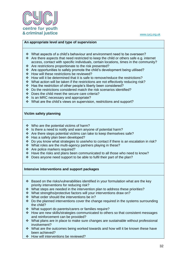

### **An appropriate level and type of supervision**

- What aspects of a child's behaviour and environment need to be overseen?
- $\cdot \cdot$  Are there aspects that need restricted to keep the child or others safe e.g. internet access, contact with specific individuals, certain locations, times in the community?
- Are restrictions proportionate to the risk presented?
- \* Are opportunities to safely promote the child's development being utilised?
- ❖ How will these restrictions be reviewed?
- How will it be determined that it is safe to remove/reduce the restrictions?
- What action will be taken if the restrictions are not effectively reducing risk?
- Has the restriction of other people's liberty been considered?
- Do the restrictions considered match the risk scenarios identified?
- Does the child meet the secure care criteria?
- $\div$  Is an MRC necessary and appropriate?
- What are the child's views on supervision, restrictions and support?

#### **Victim safety planning**

- Who are the potential victims of harm?
- $\div$  Is there a need to notify and warn anyone of potential harm?
- $\div$  Are there steps potential victims can take to keep themselves safe?
- $\div$  Has a safety plan been developed?
- Do you know what strategies to use/who to contact if there is an escalation in risk?
- ◆ What roles are the multi-agency partners playing in these?
- Are police markers required?
- $\div$  Have the risks and plans been communicated to all those who need to know?
- Does anyone need support to be able to fulfil their part of the plan?

#### **Intensive interventions and support packages**

- $\div$  Based on the risks/vulnerabilities identified in your formulation what are the key priority interventions for reducing risk?
- \* What steps are needed in the intervention plan to address these priorities?
- What strengths/protective factors will your interventions draw on?
- What order should the interventions be in?
- $\cdot \cdot$  Do the planned interventions cover the change required in the systems surrounding the child?
- What support do parents/carers or families require?
- $\div$  How are new skills/strategies communicated to others so that consistent messages and reinforcement can be provided?
- $\cdot \cdot$  What plans are in place to make sure changes are sustainable without professional involvement?
- What are the outcomes being worked towards and how will it be known these have been achieved?
- ❖ How will interventions be reviewed?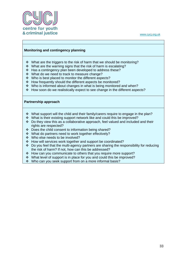

### **Monitoring and contingency planning**

- $\cdot \cdot$  What are the triggers to the risk of harm that we should be monitoring?
- $\cdot$  What are the warning signs that the risk of harm is escalating?
- Has a contingency plan been developed to address these?
- What do we need to track to measure change?
- ❖ Who is best placed to monitor the different aspects?
- How frequently should the different aspects be monitored?
- Who is informed about changes in what is being monitored and when?
- How soon do we realistically expect to see change in the different aspects?

#### **Partnership approach**

- $\cdot \cdot$  What support will the child and their family/carers require to engage in the plan?
- What is their existing support network like and could this be improved?
- $\div$  Do they view this as a collaborative approach, feel valued and included and their rights are respected?
- Does the child consent to information being shared?
- What do partners need to work together effectively?
- Who else needs to be involved?
- How will services work together and support be coordinated?
- Do you feel that the multi-agency partners are sharing the responsibility for reducing the risk of harm? If not, how can this be addressed?
- \* How can you communicate to others that you require more support?
- What level of support is in place for you and could this be improved?
- Who can you seek support from on a more informal basis?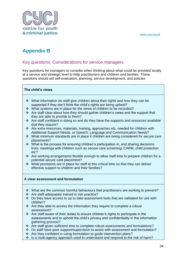

# <span id="page-34-0"></span>**Appendix B**

### <span id="page-34-1"></span>Key questions: Considerations for service managers

Key questions for managers to consider when thinking about what could be provided locally at a service and strategic level to help practitioners and children and families. These questions should aid self-evaluation, planning, service development, and policies

### **The child's views**

- What information do staff give children about their rights and how they can be supported if they don't think the child's rights are being upheld?
- What systems are in place for the views of children to be recorded?
- $\cdot$  Are staff clear about how they should gather children's views and the support that they are able to provide to them?
- \* Are staff confident in doing so and do they have the supports and resources available that they require?
- Are extra resources, materials, training, approaches etc. needed for children with Additional Support Needs, or Speech, Language and Communication Needs?
- What minimum standards are in place if children are being considered for secure care placements?
- $\cdot$  What is the process for ensuring children's participation in, and sharing decisions from, meetings with children such as secure care screening, CARM, child protection etc?
- $\cdot \cdot$  Are working arrangements flexible enough to allow staff time to prepare children for a potential secure care placement?
- $\cdot \cdot$  What provisions are in place for staff at this critical time so that they can deliver effective support to children and their families?

### **A clear assessment and formulation**

- $\cdot \cdot$  What are the common harmful behaviours that practitioners are working to prevent?
- Are staff adequately trained in risk practice?
- $\div$  Do they have access to up to date assessment tools that are validated for use with children?
- $\triangle$  Are they able to access the information they require to complete a robust assessment?
- $\cdot \cdot$  Are staff aware of their duties to ensure children's rights to participate in the assessments and to uphold the child's privacy and confidentiality in the information gathering process?
- \* Are staff given sufficient time to complete robust assessments and formulations?
- $\div$  Do staff have peer support/supervision to assist with assessment and formulation?
- $\triangle$  Are they confident in using formulation to guide intervention plans?
- Is a multi-agency approach used to understand and respond to the risk of harm?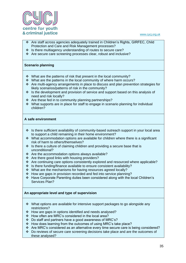

- Are staff across agencies adequately trained in Children's Rights, GIRFEC, Child Protection and Care and Risk Management processes?
- $\cdot \cdot$  Is there multiagency understanding of routes to secure care?
- Are secure care screening processes clear, robust and inclusive?

### **Scenario planning**

- $\cdot$  What are the patterns of risk that present in the local community?
- What are the patterns in the local community of where harm occurs?
- Are multi-agency arrangements in place to discuss and plan prevention strategies for likely scenarios/patterns of risk in the community?
- Is the development and provision of service and support based on this analysis of need and risk locally?
- $\triangle$  Are these fed in to community planning partnerships?
- What supports are in place for staff to engage in scenario planning for individual children?

### **A safe environment**

- $\div$  Is there sufficient availability of community-based outreach support in your local area to support a child remaining in their home environment?
- $\cdot$  What accommodation options are available for children where there is a significant risk of harm to others/themselves?
- $\cdot$  Is there a culture of claiming children and providing a secure base that is unconditional?
- Are the accommodation options always available?
- ❖ Are there good links with housing providers?
- $\cdot \cdot$  Are continuing care options consistently explored and resourced where applicable?
- $\cdot$  Is there funding/finance available to ensure consistent availability?
- What are the mechanisms for having resources agreed locally?
- How are gaps in provision recorded and fed into service planning?
- Have Corporate Parenting duties been considered along with the local Children's Services Plan?

### **An appropriate level and type of supervision**

- What options are available for intensive support packages to go alongside any restrictions?
- How are gaps in options identified and needs analysed?
- How often are MRC's considered in the local area?
- Do staff and partners have a good awareness of MRC's?
- How does learning from the outcomes of using MRC's take place?
- $\div$  Are MRC's considered as an alternative every time secure care is being considered?
- $\div$  Do reviews of secure care screening decisions take place and are the outcomes of these analysed?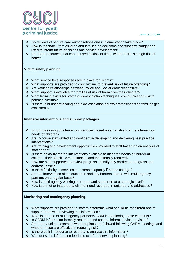

- Do reviews of secure care authorisations and implementation take place?
- \* How is feedback from children and families on decisions and supports sought and used to inform future decisions and service development?
- $\cdot \cdot$  Are there resources that can be used flexibly at times where there is a high risk of harm?

### **Victim safety planning**

- What service level responses are in place for victims?
- \* What supports are provided to child victims to prevent risk of future offending?
- Are working relationships between Police and Social Work responsive?
- $\div$  What support is available for families at risk of harm from their children?
- What training exists for staff e.g. de-escalation techniques, communicating risk to potential victims?
- $\cdot$  Is there joint understanding about de-escalation across professionals so families get consistency?

### **Intensive interventions and support packages**

- $\cdot \cdot$  Is commissioning of intervention services based on an analysis of the intervention needs of children?
- Are in-house staff skilled and confident in developing and delivering best practice interventions?
- Are training and development opportunities provided to staff based on an analysis of staff needs?
- $\div$  Is there flexibility for the interventions available to meet the needs of individual children, their specific circumstances and the intensity required?
- $\div$  How are staff supported to review progress, identify any barriers to progress and address these?
- $\cdot \cdot$  Is there flexibility in services to increase capacity if needs change?
- $\cdot \cdot$  Are the intervention aims, outcomes and any barriers shared with multi-agency partners on a regular basis?
- How is multi-agency working promoted and supported at a strategic level?
- How is unmet or inappropriately met need recorded, monitored and addressed?

### **Monitoring and contingency planning**

- What supports are provided to staff to determine what should be monitored and to support them with reviewing this information?
- What is the role of multi-agency partners/CARM in monitoring these elements?
- $\div$  Is CARM information formally recorded and used to inform service provision?
- Are there audits to examine whether plans are followed following CARM meetings and whether these are effective in reducing risk?
- $\cdot \cdot$  Is there built in resource to record and analyse this information?
- \* Who does this information feed into to inform service planning?